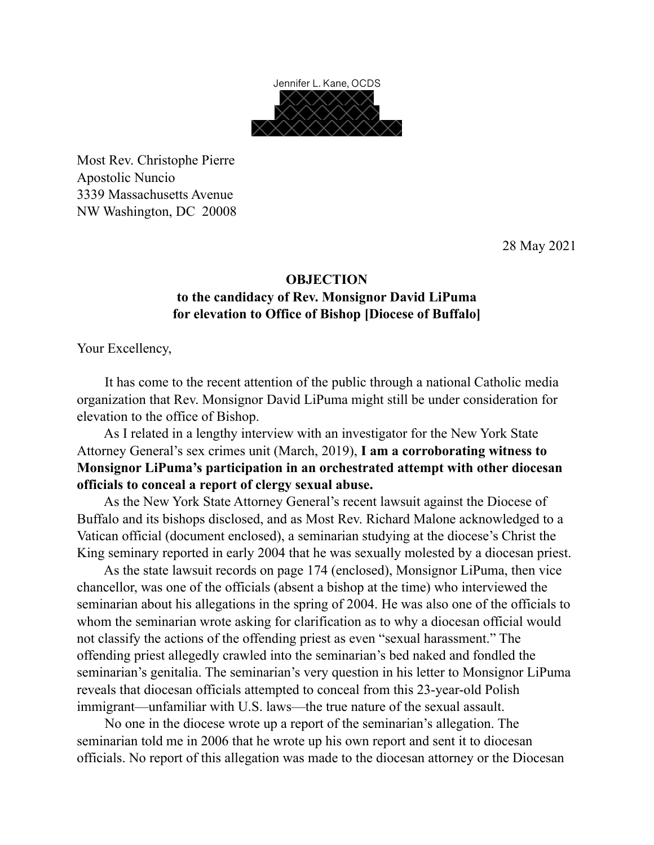

Most Rev. Christophe Pierre Apostolic Nuncio 3339 Massachusetts Avenue NW Washington, DC 20008

28 May 2021

## **OBJECTION to the candidacy of Rev. Monsignor David LiPuma for elevation to Office of Bishop [Diocese of Buffalo]**

Your Excellency,

 It has come to the recent attention of the public through a national Catholic media organization that Rev. Monsignor David LiPuma might still be under consideration for elevation to the office of Bishop.

 As I related in a lengthy interview with an investigator for the New York State Attorney General's sex crimes unit (March, 2019), **I am a corroborating witness to Monsignor LiPuma's participation in an orchestrated attempt with other diocesan officials to conceal a report of clergy sexual abuse.** 

 As the New York State Attorney General's recent lawsuit against the Diocese of Buffalo and its bishops disclosed, and as Most Rev. Richard Malone acknowledged to a Vatican official (document enclosed), a seminarian studying at the diocese's Christ the King seminary reported in early 2004 that he was sexually molested by a diocesan priest.

 As the state lawsuit records on page 174 (enclosed), Monsignor LiPuma, then vice chancellor, was one of the officials (absent a bishop at the time) who interviewed the seminarian about his allegations in the spring of 2004. He was also one of the officials to whom the seminarian wrote asking for clarification as to why a diocesan official would not classify the actions of the offending priest as even "sexual harassment." The offending priest allegedly crawled into the seminarian's bed naked and fondled the seminarian's genitalia. The seminarian's very question in his letter to Monsignor LiPuma reveals that diocesan officials attempted to conceal from this 23-year-old Polish immigrant—unfamiliar with U.S. laws—the true nature of the sexual assault.

 No one in the diocese wrote up a report of the seminarian's allegation. The seminarian told me in 2006 that he wrote up his own report and sent it to diocesan officials. No report of this allegation was made to the diocesan attorney or the Diocesan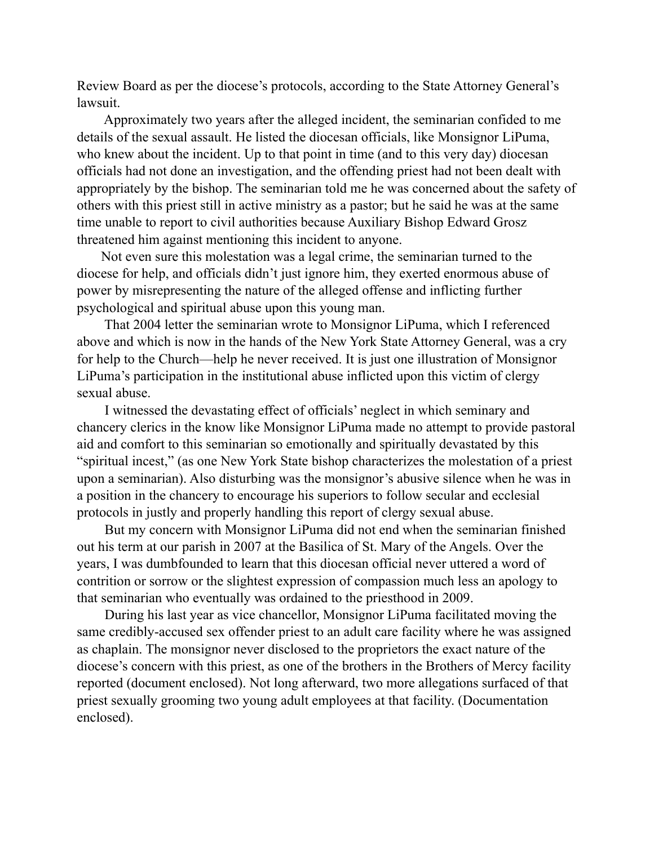Review Board as per the diocese's protocols, according to the State Attorney General's lawsuit.

 Approximately two years after the alleged incident, the seminarian confided to me details of the sexual assault. He listed the diocesan officials, like Monsignor LiPuma, who knew about the incident. Up to that point in time (and to this very day) diocesan officials had not done an investigation, and the offending priest had not been dealt with appropriately by the bishop. The seminarian told me he was concerned about the safety of others with this priest still in active ministry as a pastor; but he said he was at the same time unable to report to civil authorities because Auxiliary Bishop Edward Grosz threatened him against mentioning this incident to anyone.

 Not even sure this molestation was a legal crime, the seminarian turned to the diocese for help, and officials didn't just ignore him, they exerted enormous abuse of power by misrepresenting the nature of the alleged offense and inflicting further psychological and spiritual abuse upon this young man.

 That 2004 letter the seminarian wrote to Monsignor LiPuma, which I referenced above and which is now in the hands of the New York State Attorney General, was a cry for help to the Church—help he never received. It is just one illustration of Monsignor LiPuma's participation in the institutional abuse inflicted upon this victim of clergy sexual abuse.

 I witnessed the devastating effect of officials' neglect in which seminary and chancery clerics in the know like Monsignor LiPuma made no attempt to provide pastoral aid and comfort to this seminarian so emotionally and spiritually devastated by this "spiritual incest," (as one New York State bishop characterizes the molestation of a priest upon a seminarian). Also disturbing was the monsignor's abusive silence when he was in a position in the chancery to encourage his superiors to follow secular and ecclesial protocols in justly and properly handling this report of clergy sexual abuse.

 But my concern with Monsignor LiPuma did not end when the seminarian finished out his term at our parish in 2007 at the Basilica of St. Mary of the Angels. Over the years, I was dumbfounded to learn that this diocesan official never uttered a word of contrition or sorrow or the slightest expression of compassion much less an apology to that seminarian who eventually was ordained to the priesthood in 2009.

 During his last year as vice chancellor, Monsignor LiPuma facilitated moving the same credibly-accused sex offender priest to an adult care facility where he was assigned as chaplain. The monsignor never disclosed to the proprietors the exact nature of the diocese's concern with this priest, as one of the brothers in the Brothers of Mercy facility reported (document enclosed). Not long afterward, two more allegations surfaced of that priest sexually grooming two young adult employees at that facility. (Documentation enclosed).